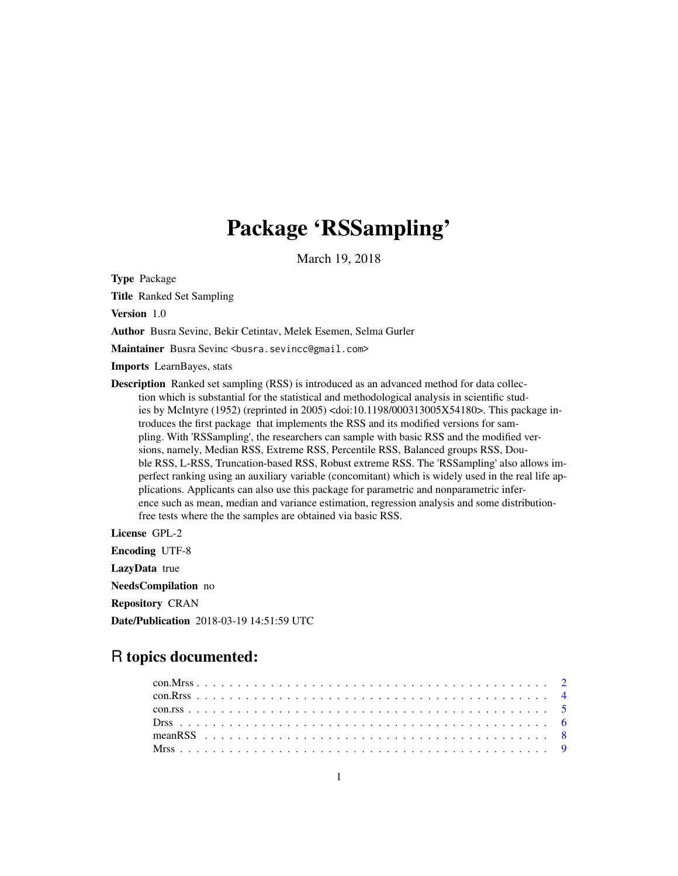# Package 'RSSampling'

March 19, 2018

Type Package

Title Ranked Set Sampling

Version 1.0

Author Busra Sevinc, Bekir Cetintav, Melek Esemen, Selma Gurler

Maintainer Busra Sevinc <br/>busra.sevincc@gmail.com>

Imports LearnBayes, stats

Description Ranked set sampling (RSS) is introduced as an advanced method for data collection which is substantial for the statistical and methodological analysis in scientific studies by McIntyre (1952) (reprinted in 2005) <doi:10.1198/000313005X54180>. This package introduces the first package that implements the RSS and its modified versions for sampling. With 'RSSampling', the researchers can sample with basic RSS and the modified versions, namely, Median RSS, Extreme RSS, Percentile RSS, Balanced groups RSS, Double RSS, L-RSS, Truncation-based RSS, Robust extreme RSS. The 'RSSampling' also allows imperfect ranking using an auxiliary variable (concomitant) which is widely used in the real life applications. Applicants can also use this package for parametric and nonparametric inference such as mean, median and variance estimation, regression analysis and some distributionfree tests where the the samples are obtained via basic RSS.

License GPL-2 Encoding UTF-8 LazyData true

NeedsCompilation no

Repository CRAN

Date/Publication 2018-03-19 14:51:59 UTC

# R topics documented: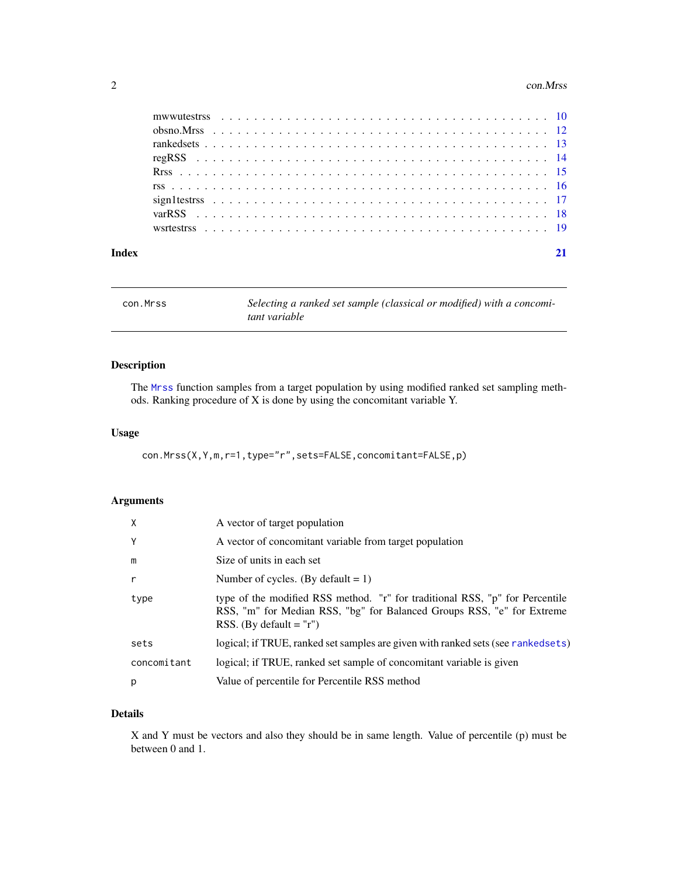#### <span id="page-1-0"></span>2 con.Mrss

| Index |  |  |  |  |  |  |  |  |  |  |  |  |  |  |  |  |  |  |  |  |  |
|-------|--|--|--|--|--|--|--|--|--|--|--|--|--|--|--|--|--|--|--|--|--|
|       |  |  |  |  |  |  |  |  |  |  |  |  |  |  |  |  |  |  |  |  |  |
|       |  |  |  |  |  |  |  |  |  |  |  |  |  |  |  |  |  |  |  |  |  |
|       |  |  |  |  |  |  |  |  |  |  |  |  |  |  |  |  |  |  |  |  |  |
|       |  |  |  |  |  |  |  |  |  |  |  |  |  |  |  |  |  |  |  |  |  |
|       |  |  |  |  |  |  |  |  |  |  |  |  |  |  |  |  |  |  |  |  |  |
|       |  |  |  |  |  |  |  |  |  |  |  |  |  |  |  |  |  |  |  |  |  |
|       |  |  |  |  |  |  |  |  |  |  |  |  |  |  |  |  |  |  |  |  |  |
|       |  |  |  |  |  |  |  |  |  |  |  |  |  |  |  |  |  |  |  |  |  |
|       |  |  |  |  |  |  |  |  |  |  |  |  |  |  |  |  |  |  |  |  |  |

<span id="page-1-1"></span>con.Mrss *Selecting a ranked set sample (classical or modified) with a concomitant variable*

# Description

The [Mrss](#page-8-1) function samples from a target population by using modified ranked set sampling methods. Ranking procedure of X is done by using the concomitant variable Y.

# Usage

con.Mrss(X,Y,m,r=1,type="r",sets=FALSE,concomitant=FALSE,p)

# Arguments

| X           | A vector of target population                                                                                                                                                       |
|-------------|-------------------------------------------------------------------------------------------------------------------------------------------------------------------------------------|
| Y           | A vector of concomitant variable from target population                                                                                                                             |
| m           | Size of units in each set                                                                                                                                                           |
| r           | Number of cycles. (By default = 1)                                                                                                                                                  |
| type        | type of the modified RSS method. "r" for traditional RSS, "p" for Percentile<br>RSS, "m" for Median RSS, "bg" for Balanced Groups RSS, "e" for Extreme<br>RSS. (By default $=$ "r") |
| sets        | logical; if TRUE, ranked set samples are given with ranked sets (see rankedsets)                                                                                                    |
| concomitant | logical; if TRUE, ranked set sample of concomitant variable is given                                                                                                                |
| p           | Value of percentile for Percentile RSS method                                                                                                                                       |

# Details

X and Y must be vectors and also they should be in same length. Value of percentile (p) must be between 0 and 1.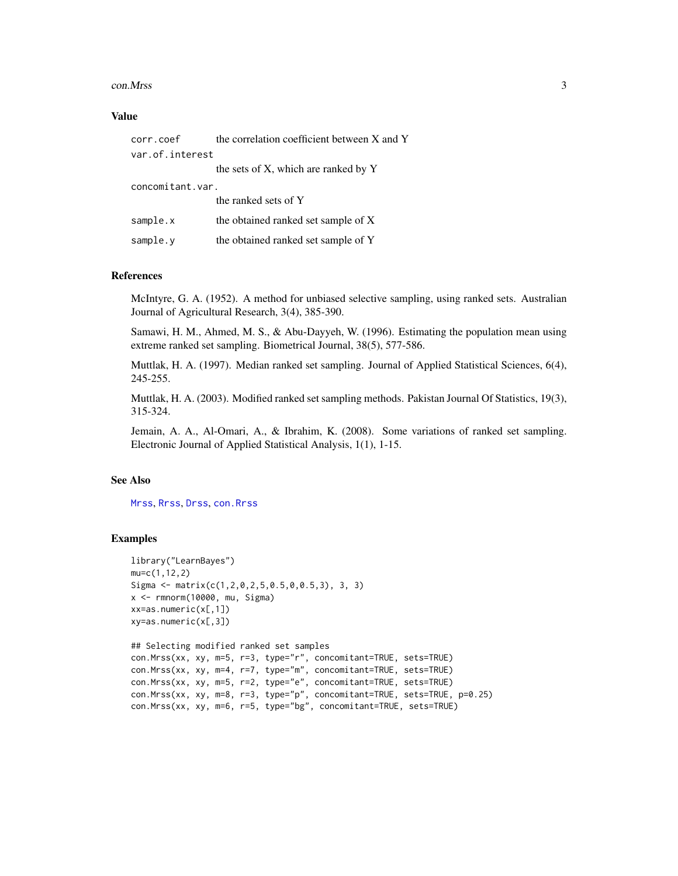#### <span id="page-2-0"></span>con. Mrss 3

#### Value

| corr.coef        | the correlation coefficient between X and Y |  |  |  |  |  |  |
|------------------|---------------------------------------------|--|--|--|--|--|--|
| var.of.interest  |                                             |  |  |  |  |  |  |
|                  | the sets of X, which are ranked by Y        |  |  |  |  |  |  |
| concomitant.var. |                                             |  |  |  |  |  |  |
|                  | the ranked sets of Y                        |  |  |  |  |  |  |
| sample.x         | the obtained ranked set sample of X         |  |  |  |  |  |  |
| sample.y         | the obtained ranked set sample of Y         |  |  |  |  |  |  |

# References

McIntyre, G. A. (1952). A method for unbiased selective sampling, using ranked sets. Australian Journal of Agricultural Research, 3(4), 385-390.

Samawi, H. M., Ahmed, M. S., & Abu-Dayyeh, W. (1996). Estimating the population mean using extreme ranked set sampling. Biometrical Journal, 38(5), 577-586.

Muttlak, H. A. (1997). Median ranked set sampling. Journal of Applied Statistical Sciences, 6(4), 245-255.

Muttlak, H. A. (2003). Modified ranked set sampling methods. Pakistan Journal Of Statistics, 19(3), 315-324.

Jemain, A. A., Al-Omari, A., & Ibrahim, K. (2008). Some variations of ranked set sampling. Electronic Journal of Applied Statistical Analysis, 1(1), 1-15.

# See Also

[Mrss](#page-8-1), [Rrss](#page-14-1), [Drss](#page-5-1), [con.Rrss](#page-3-1)

#### Examples

```
library("LearnBayes")
mu=c(1,12,2)
Sigma <- matrix(c(1,2,0,2,5,0.5,0,0.5,3), 3, 3)
x <- rmnorm(10000, mu, Sigma)
xx=as.numeric(x[,1])
xy=as.numeric(x[,3])
## Selecting modified ranked set samples
con.Mrss(xx, xy, m=5, r=3, type="r", concomitant=TRUE, sets=TRUE)
con.Mrss(xx, xy, m=4, r=7, type="m", concomitant=TRUE, sets=TRUE)
con.Mrss(xx, xy, m=5, r=2, type="e", concomitant=TRUE, sets=TRUE)
con.Mrss(xx, xy, m=8, r=3, type="p", concomitant=TRUE, sets=TRUE, p=0.25)
con.Mrss(xx, xy, m=6, r=5, type="bg", concomitant=TRUE, sets=TRUE)
```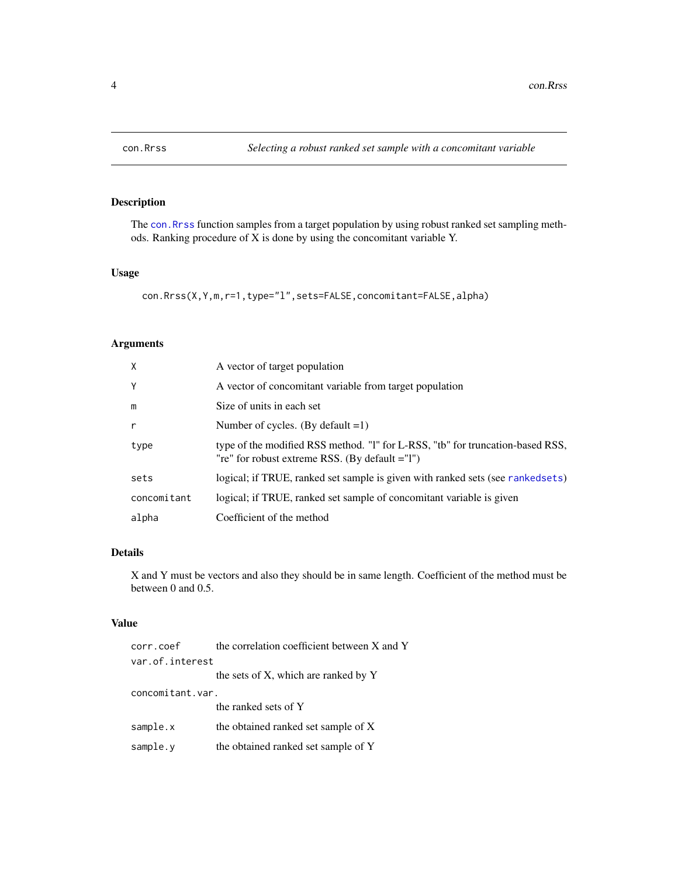<span id="page-3-1"></span><span id="page-3-0"></span>

# Description

The [con.Rrss](#page-3-1) function samples from a target population by using robust ranked set sampling methods. Ranking procedure of X is done by using the concomitant variable Y.

# Usage

con.Rrss(X,Y,m,r=1,type="l",sets=FALSE,concomitant=FALSE,alpha)

# Arguments

| X            | A vector of target population                                                                                                    |
|--------------|----------------------------------------------------------------------------------------------------------------------------------|
| Y            | A vector of concomitant variable from target population                                                                          |
| m            | Size of units in each set                                                                                                        |
| $\mathsf{r}$ | Number of cycles. (By default $=1$ )                                                                                             |
| type         | type of the modified RSS method. "I" for L-RSS, "tb" for truncation-based RSS,<br>"re" for robust extreme RSS. (By default ="1") |
| sets         | logical; if TRUE, ranked set sample is given with ranked sets (see ranked sets)                                                  |
| concomitant  | logical; if TRUE, ranked set sample of concomitant variable is given                                                             |
| alpha        | Coefficient of the method                                                                                                        |

#### Details

X and Y must be vectors and also they should be in same length. Coefficient of the method must be between 0 and 0.5.

# Value

| corr.coef        | the correlation coefficient between X and Y |
|------------------|---------------------------------------------|
| var.of.interest  |                                             |
|                  | the sets of X, which are ranked by Y        |
| concomitant.var. |                                             |
|                  | the ranked sets of Y                        |
| sample.x         | the obtained ranked set sample of X         |
| sample.y         | the obtained ranked set sample of Y         |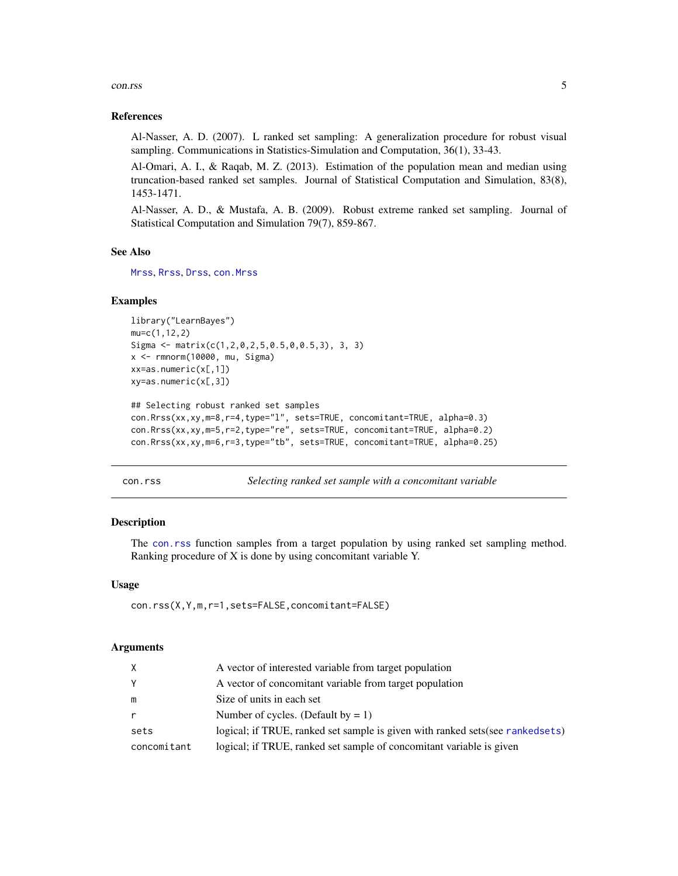#### <span id="page-4-0"></span>con.rss 5

#### References

Al-Nasser, A. D. (2007). L ranked set sampling: A generalization procedure for robust visual sampling. Communications in Statistics-Simulation and Computation, 36(1), 33-43.

Al-Omari, A. I., & Raqab, M. Z. (2013). Estimation of the population mean and median using truncation-based ranked set samples. Journal of Statistical Computation and Simulation, 83(8), 1453-1471.

Al-Nasser, A. D., & Mustafa, A. B. (2009). Robust extreme ranked set sampling. Journal of Statistical Computation and Simulation 79(7), 859-867.

#### See Also

[Mrss](#page-8-1), [Rrss](#page-14-1), [Drss](#page-5-1), [con.Mrss](#page-1-1)

#### Examples

```
library("LearnBayes")
mu=c(1,12,2)
Sigma <- matrix(c(1,2,0,2,5,0.5,0,0.5,3), 3, 3)
x <- rmnorm(10000, mu, Sigma)
xx=as.numeric(x[,1])
xy=as.numeric(x[,3])
```

```
## Selecting robust ranked set samples
con.Rrss(xx,xy,m=8,r=4,type="l", sets=TRUE, concomitant=TRUE, alpha=0.3)
con.Rrss(xx,xy,m=5,r=2,type="re", sets=TRUE, concomitant=TRUE, alpha=0.2)
con.Rrss(xx,xy,m=6,r=3,type="tb", sets=TRUE, concomitant=TRUE, alpha=0.25)
```
<span id="page-4-1"></span>

con.rss *Selecting ranked set sample with a concomitant variable*

# Description

The [con.rss](#page-4-1) function samples from a target population by using ranked set sampling method. Ranking procedure of X is done by using concomitant variable Y.

#### Usage

con.rss(X,Y,m,r=1,sets=FALSE,concomitant=FALSE)

#### Arguments

| X            | A vector of interested variable from target population                          |
|--------------|---------------------------------------------------------------------------------|
| Y            | A vector of concomitant variable from target population                         |
| m            | Size of units in each set                                                       |
| $\mathsf{r}$ | Number of cycles. (Default by $= 1$ )                                           |
| sets         | logical; if TRUE, ranked set sample is given with ranked sets (see ranked sets) |
| concomitant  | logical; if TRUE, ranked set sample of concomitant variable is given            |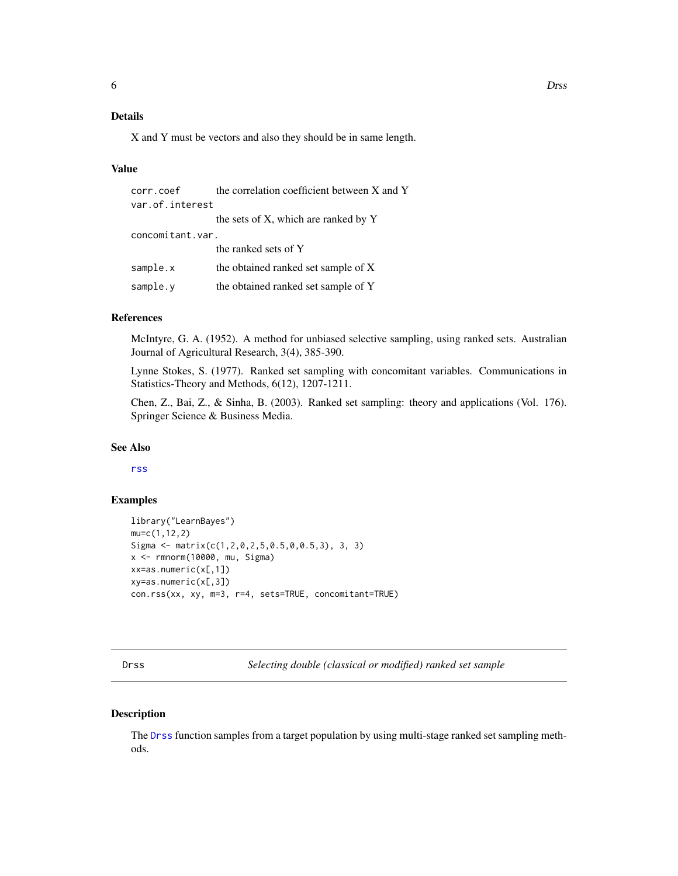# <span id="page-5-0"></span>Details

X and Y must be vectors and also they should be in same length.

#### Value

| corr.coef        | the correlation coefficient between X and Y |
|------------------|---------------------------------------------|
| var.of.interest  |                                             |
|                  | the sets of X, which are ranked by Y        |
| concomitant.var. |                                             |
|                  | the ranked sets of Y                        |
| sample.x         | the obtained ranked set sample of X         |
| sample.y         | the obtained ranked set sample of Y         |

# References

McIntyre, G. A. (1952). A method for unbiased selective sampling, using ranked sets. Australian Journal of Agricultural Research, 3(4), 385-390.

Lynne Stokes, S. (1977). Ranked set sampling with concomitant variables. Communications in Statistics-Theory and Methods, 6(12), 1207-1211.

Chen, Z., Bai, Z., & Sinha, B. (2003). Ranked set sampling: theory and applications (Vol. 176). Springer Science & Business Media.

#### See Also

[rss](#page-15-1)

# Examples

```
library("LearnBayes")
mu=c(1,12,2)
Sigma <- matrix(c(1,2,0,2,5,0.5,0,0.5,3), 3, 3)
x <- rmnorm(10000, mu, Sigma)
xx=as.numeric(x[,1])
xy=as.numeric(x[,3])
con.rss(xx, xy, m=3, r=4, sets=TRUE, concomitant=TRUE)
```
<span id="page-5-1"></span>Drss *Selecting double (classical or modified) ranked set sample*

#### Description

The [Drss](#page-5-1) function samples from a target population by using multi-stage ranked set sampling methods.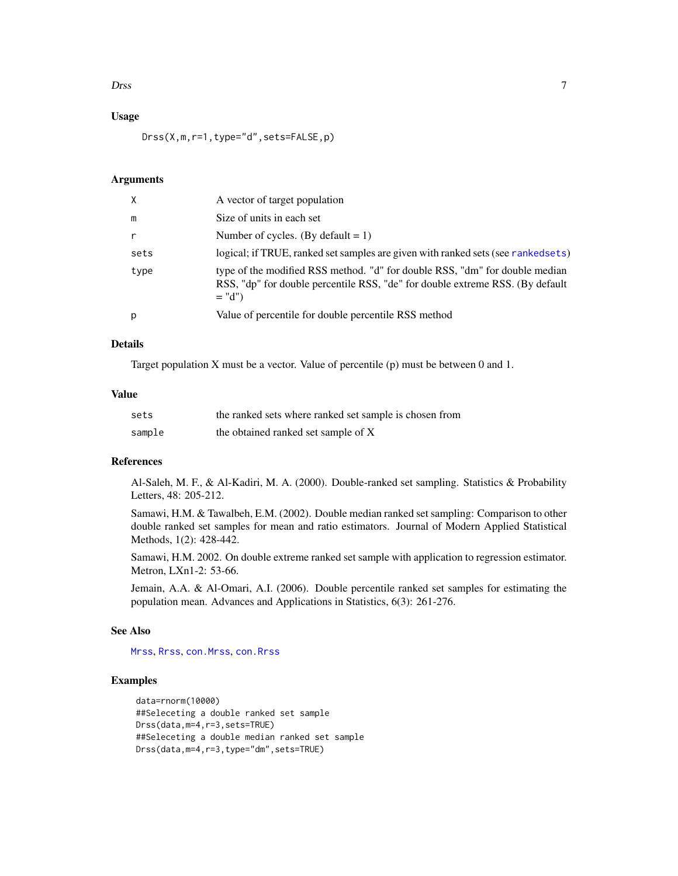#### <span id="page-6-0"></span>Drss 7

# Usage

Drss(X,m,r=1,type="d",sets=FALSE,p)

#### Arguments

| X    | A vector of target population                                                                                                                                            |
|------|--------------------------------------------------------------------------------------------------------------------------------------------------------------------------|
| m    | Size of units in each set                                                                                                                                                |
| r    | Number of cycles. (By default = 1)                                                                                                                                       |
| sets | logical; if TRUE, ranked set samples are given with ranked sets (see ranked sets)                                                                                        |
| type | type of the modified RSS method. "d" for double RSS, "dm" for double median<br>RSS, "dp" for double percentile RSS, "de" for double extreme RSS. (By default<br>$= "d")$ |
| p    | Value of percentile for double percentile RSS method                                                                                                                     |

#### Details

Target population X must be a vector. Value of percentile (p) must be between 0 and 1.

#### Value

| sets   | the ranked sets where ranked set sample is chosen from |
|--------|--------------------------------------------------------|
| sample | the obtained ranked set sample of X                    |

# References

Al-Saleh, M. F., & Al-Kadiri, M. A. (2000). Double-ranked set sampling. Statistics & Probability Letters, 48: 205-212.

Samawi, H.M. & Tawalbeh, E.M. (2002). Double median ranked set sampling: Comparison to other double ranked set samples for mean and ratio estimators. Journal of Modern Applied Statistical Methods, 1(2): 428-442.

Samawi, H.M. 2002. On double extreme ranked set sample with application to regression estimator. Metron, LXn1-2: 53-66.

Jemain, A.A. & Al-Omari, A.I. (2006). Double percentile ranked set samples for estimating the population mean. Advances and Applications in Statistics, 6(3): 261-276.

#### See Also

[Mrss](#page-8-1), [Rrss](#page-14-1), [con.Mrss](#page-1-1), [con.Rrss](#page-3-1)

# Examples

```
data=rnorm(10000)
##Seleceting a double ranked set sample
Drss(data,m=4,r=3,sets=TRUE)
##Seleceting a double median ranked set sample
Drss(data,m=4,r=3,type="dm",sets=TRUE)
```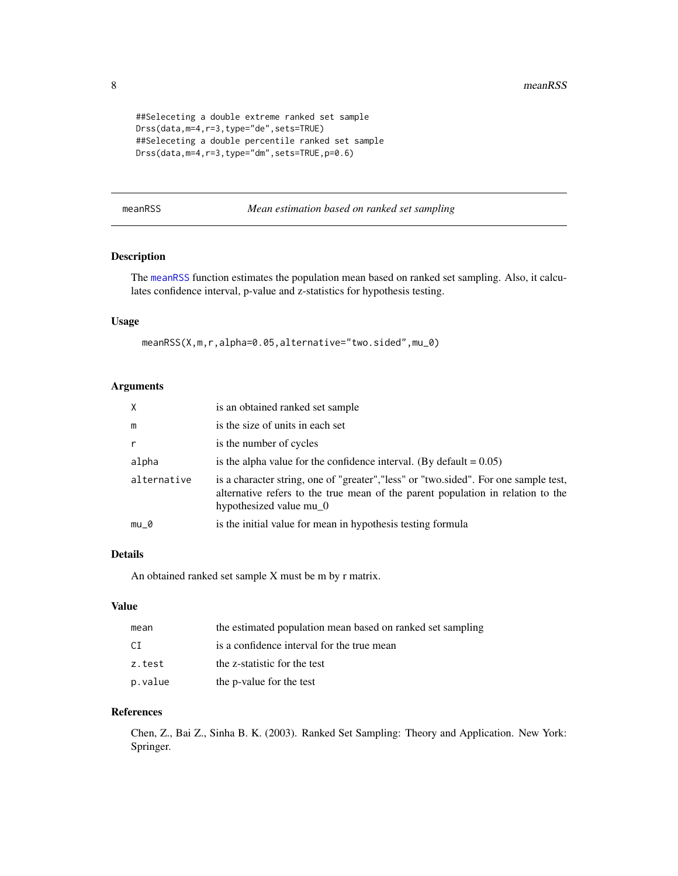```
##Seleceting a double extreme ranked set sample
Drss(data,m=4,r=3,type="de",sets=TRUE)
##Seleceting a double percentile ranked set sample
Drss(data,m=4,r=3,type="dm",sets=TRUE,p=0.6)
```
<span id="page-7-1"></span>

| meanRS: |  |
|---------|--|
|         |  |

# meanRSS *Mean estimation based on ranked set sampling*

# Description

The [meanRSS](#page-7-1) function estimates the population mean based on ranked set sampling. Also, it calculates confidence interval, p-value and z-statistics for hypothesis testing.

# Usage

meanRSS(X,m,r,alpha=0.05,alternative="two.sided",mu\_0)

# Arguments

| $\times$     | is an obtained ranked set sample                                                                                                                                                                   |
|--------------|----------------------------------------------------------------------------------------------------------------------------------------------------------------------------------------------------|
| m            | is the size of units in each set                                                                                                                                                                   |
| $\mathsf{r}$ | is the number of cycles                                                                                                                                                                            |
| alpha        | is the alpha value for the confidence interval. (By default = $0.05$ )                                                                                                                             |
| alternative  | is a character string, one of "greater", "less" or "two.sided". For one sample test,<br>alternative refers to the true mean of the parent population in relation to the<br>hypothesized value mu_0 |
| mu 0         | is the initial value for mean in hypothesis testing formula                                                                                                                                        |

# Details

An obtained ranked set sample X must be m by r matrix.

#### Value

| mean    | the estimated population mean based on ranked set sampling |
|---------|------------------------------------------------------------|
| CT.     | is a confidence interval for the true mean                 |
| z.test  | the z-statistic for the test                               |
| p.value | the p-value for the test                                   |

# References

Chen, Z., Bai Z., Sinha B. K. (2003). Ranked Set Sampling: Theory and Application. New York: Springer.

<span id="page-7-0"></span>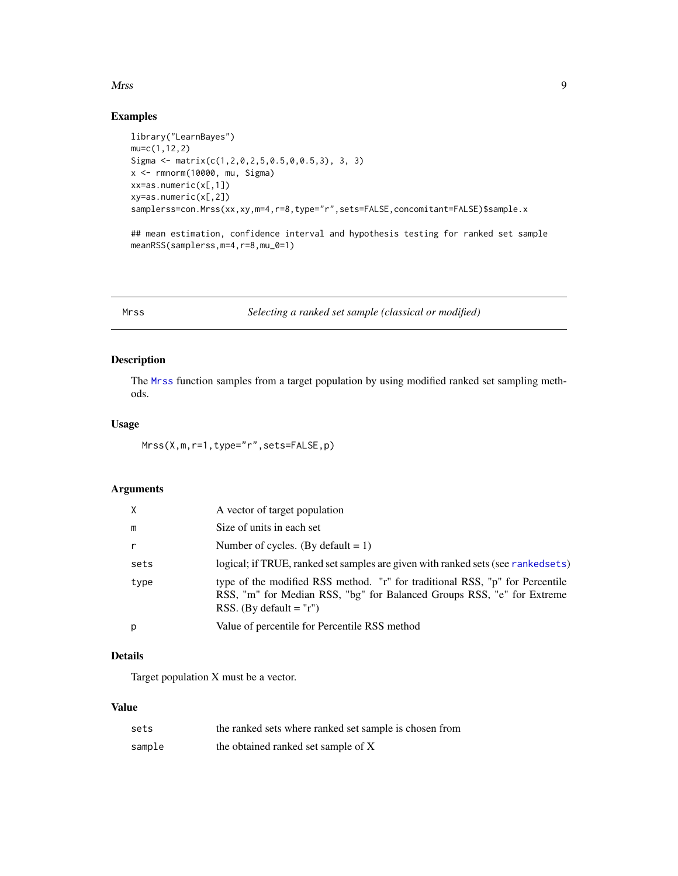#### <span id="page-8-0"></span>Mrss 9

# Examples

```
library("LearnBayes")
mu=c(1,12,2)
Sigma <- matrix(c(1,2,0,2,5,0.5,0,0.5,3), 3, 3)
x <- rmnorm(10000, mu, Sigma)
xx=as.numeric(x[,1])
xy=as.numeric(x[,2])
samplerss=con.Mrss(xx,xy,m=4,r=8,type="r",sets=FALSE,concomitant=FALSE)$sample.x
## mean estimation, confidence interval and hypothesis testing for ranked set sample
meanRSS(samplerss,m=4,r=8,mu_0=1)
```
<span id="page-8-1"></span>Mrss *Selecting a ranked set sample (classical or modified)*

# Description

The [Mrss](#page-8-1) function samples from a target population by using modified ranked set sampling methods.

#### Usage

Mrss(X,m,r=1,type="r",sets=FALSE,p)

# Arguments

| $\times$     | A vector of target population                                                                                                                                                       |
|--------------|-------------------------------------------------------------------------------------------------------------------------------------------------------------------------------------|
| m            | Size of units in each set                                                                                                                                                           |
| $\mathsf{r}$ | Number of cycles. (By default $= 1$ )                                                                                                                                               |
| sets         | logical; if TRUE, ranked set samples are given with ranked sets (see ranked sets)                                                                                                   |
| type         | type of the modified RSS method. "r" for traditional RSS, "p" for Percentile<br>RSS, "m" for Median RSS, "bg" for Balanced Groups RSS, "e" for Extreme<br>RSS. (By default $=$ "r") |
| p            | Value of percentile for Percentile RSS method                                                                                                                                       |

# Details

Target population X must be a vector.

# Value

| sets   | the ranked sets where ranked set sample is chosen from |
|--------|--------------------------------------------------------|
| sample | the obtained ranked set sample of X                    |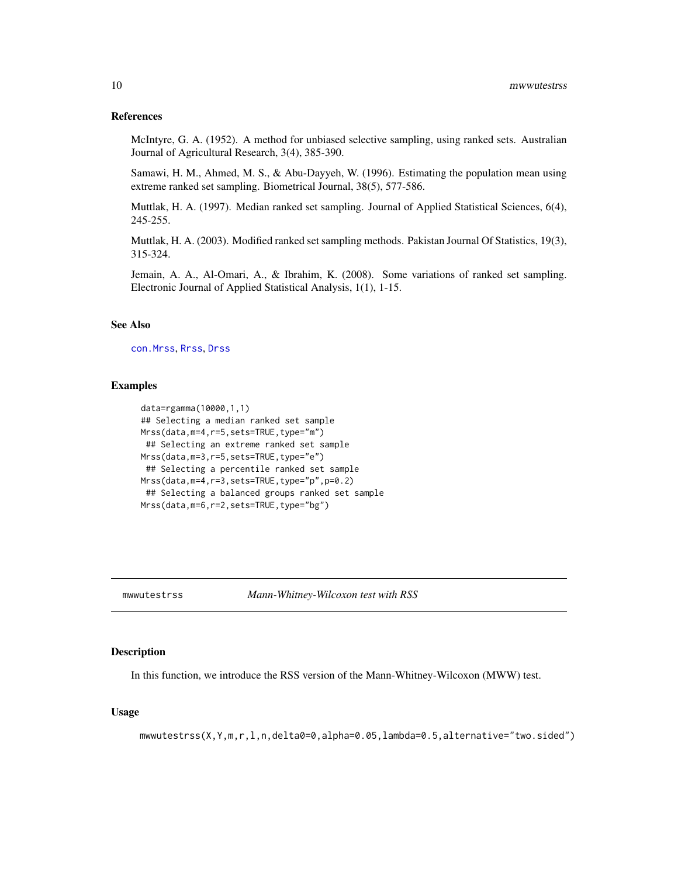#### <span id="page-9-0"></span>References

McIntyre, G. A. (1952). A method for unbiased selective sampling, using ranked sets. Australian Journal of Agricultural Research, 3(4), 385-390.

Samawi, H. M., Ahmed, M. S., & Abu-Dayyeh, W. (1996). Estimating the population mean using extreme ranked set sampling. Biometrical Journal, 38(5), 577-586.

Muttlak, H. A. (1997). Median ranked set sampling. Journal of Applied Statistical Sciences, 6(4), 245-255.

Muttlak, H. A. (2003). Modified ranked set sampling methods. Pakistan Journal Of Statistics, 19(3), 315-324.

Jemain, A. A., Al-Omari, A., & Ibrahim, K. (2008). Some variations of ranked set sampling. Electronic Journal of Applied Statistical Analysis, 1(1), 1-15.

# See Also

[con.Mrss](#page-1-1), [Rrss](#page-14-1), [Drss](#page-5-1)

#### Examples

```
data=rgamma(10000,1,1)
## Selecting a median ranked set sample
Mrss(data,m=4,r=5,sets=TRUE,type="m")
## Selecting an extreme ranked set sample
Mrss(data,m=3,r=5,sets=TRUE,type="e")
 ## Selecting a percentile ranked set sample
Mrss(data,m=4,r=3,sets=TRUE,type="p",p=0.2)
 ## Selecting a balanced groups ranked set sample
Mrss(data,m=6,r=2,sets=TRUE,type="bg")
```
mwwutestrss *Mann-Whitney-Wilcoxon test with RSS*

# **Description**

In this function, we introduce the RSS version of the Mann-Whitney-Wilcoxon (MWW) test.

#### Usage

```
mwwutestrss(X,Y,m,r,l,n,delta0=0,alpha=0.05,lambda=0.5,alternative="two.sided")
```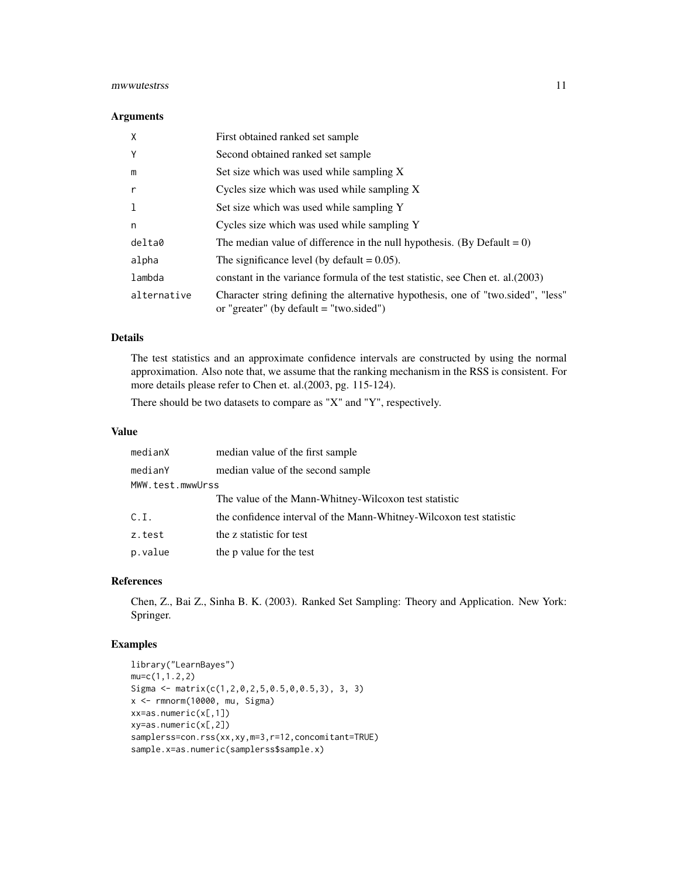#### mwwutestrss 11

#### Arguments

| X           | First obtained ranked set sample                                                                                              |
|-------------|-------------------------------------------------------------------------------------------------------------------------------|
| Y           | Second obtained ranked set sample                                                                                             |
| m           | Set size which was used while sampling X                                                                                      |
| r           | Cycles size which was used while sampling X                                                                                   |
|             | Set size which was used while sampling Y                                                                                      |
| n           | Cycles size which was used while sampling Y                                                                                   |
| delta0      | The median value of difference in the null hypothesis. (By Default = $0$ )                                                    |
| alpha       | The significance level (by default $= 0.05$ ).                                                                                |
| lambda      | constant in the variance formula of the test statistic, see Chen et. al. (2003)                                               |
| alternative | Character string defining the alternative hypothesis, one of "two sided", "less"<br>or "greater" (by default $=$ "two.sided") |

# Details

The test statistics and an approximate confidence intervals are constructed by using the normal approximation. Also note that, we assume that the ranking mechanism in the RSS is consistent. For more details please refer to Chen et. al.(2003, pg. 115-124).

There should be two datasets to compare as "X" and "Y", respectively.

#### Value

| medianX          | median value of the first sample                                    |  |
|------------------|---------------------------------------------------------------------|--|
| medianY          | median value of the second sample                                   |  |
| MWW.test.mwwUrss |                                                                     |  |
|                  | The value of the Mann-Whitney-Wilcoxon test statistic               |  |
| C.I.             | the confidence interval of the Mann-Whitney-Wilcoxon test statistic |  |
| z.test           | the z statistic for test                                            |  |
| p.value          | the p value for the test                                            |  |

#### References

Chen, Z., Bai Z., Sinha B. K. (2003). Ranked Set Sampling: Theory and Application. New York: Springer.

# Examples

```
library("LearnBayes")
mu=c(1,1.2,2)
Sigma <- matrix(c(1,2,0,2,5,0.5,0,0.5,3), 3, 3)
x <- rmnorm(10000, mu, Sigma)
xx=as.numeric(x[,1])
xy=as.numeric(x[,2])
samplerss=con.rss(xx,xy,m=3,r=12,concomitant=TRUE)
sample.x=as.numeric(samplerss$sample.x)
```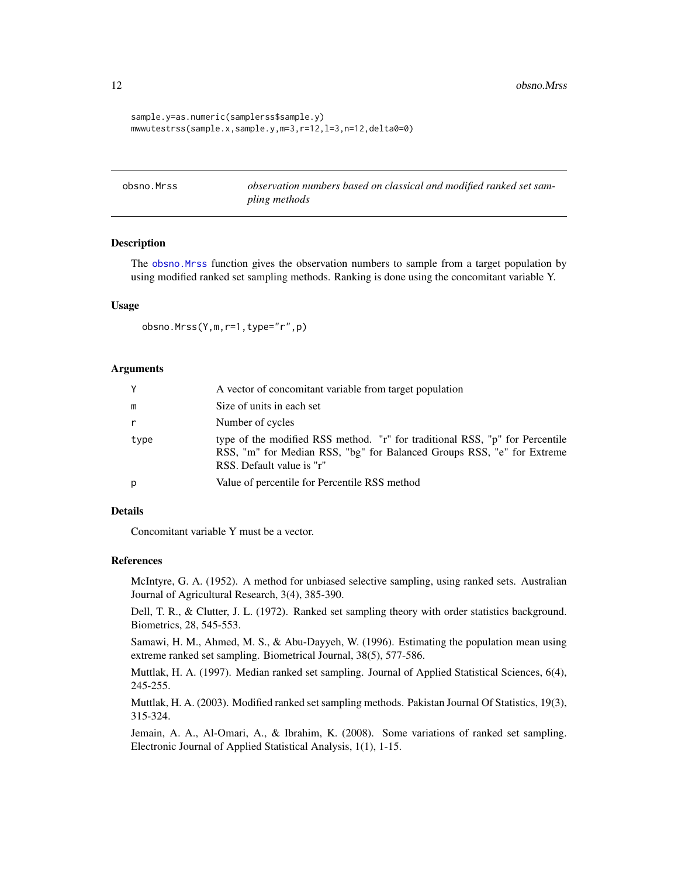<span id="page-11-0"></span>12 obsno.Mrss

```
sample.y=as.numeric(samplerss$sample.y)
mwwutestrss(sample.x,sample.y,m=3,r=12,l=3,n=12,delta0=0)
```
<span id="page-11-1"></span>obsno.Mrss *observation numbers based on classical and modified ranked set sampling methods*

# Description

The obsno. Mrss function gives the observation numbers to sample from a target population by using modified ranked set sampling methods. Ranking is done using the concomitant variable Y.

#### Usage

obsno.Mrss(Y,m,r=1,type="r",p)

#### Arguments

| Y            | A vector of concomitant variable from target population                                                                                                                             |
|--------------|-------------------------------------------------------------------------------------------------------------------------------------------------------------------------------------|
| m            | Size of units in each set                                                                                                                                                           |
| $\mathsf{r}$ | Number of cycles                                                                                                                                                                    |
| type         | type of the modified RSS method. "r" for traditional RSS, "p" for Percentile<br>RSS, "m" for Median RSS, "bg" for Balanced Groups RSS, "e" for Extreme<br>RSS. Default value is "r" |
| p            | Value of percentile for Percentile RSS method                                                                                                                                       |

# Details

Concomitant variable Y must be a vector.

#### References

McIntyre, G. A. (1952). A method for unbiased selective sampling, using ranked sets. Australian Journal of Agricultural Research, 3(4), 385-390.

Dell, T. R., & Clutter, J. L. (1972). Ranked set sampling theory with order statistics background. Biometrics, 28, 545-553.

Samawi, H. M., Ahmed, M. S., & Abu-Dayyeh, W. (1996). Estimating the population mean using extreme ranked set sampling. Biometrical Journal, 38(5), 577-586.

Muttlak, H. A. (1997). Median ranked set sampling. Journal of Applied Statistical Sciences, 6(4), 245-255.

Muttlak, H. A. (2003). Modified ranked set sampling methods. Pakistan Journal Of Statistics, 19(3), 315-324.

Jemain, A. A., Al-Omari, A., & Ibrahim, K. (2008). Some variations of ranked set sampling. Electronic Journal of Applied Statistical Analysis, 1(1), 1-15.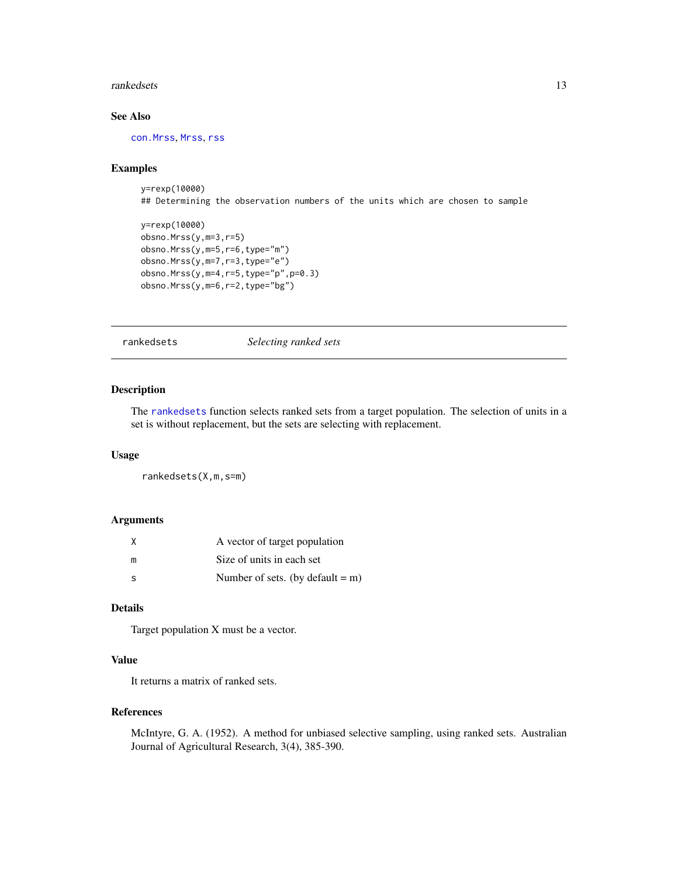#### <span id="page-12-0"></span>rankedsets and the set of the set of the set of the set of the set of the set of the set of the set of the set of the set of the set of the set of the set of the set of the set of the set of the set of the set of the set o

# See Also

[con.Mrss](#page-1-1), [Mrss](#page-8-1), [rss](#page-15-1)

#### Examples

y=rexp(10000) ## Determining the observation numbers of the units which are chosen to sample

```
y=rexp(10000)
obsno.Mrss(y,m=3,r=5)
obsno.Mrss(y,m=5,r=6,type="m")
obsno.Mrss(y,m=7,r=3,type="e")
obsno.Mrss(y,m=4,r=5,type="p",p=0.3)
obsno.Mrss(y,m=6,r=2,type="bg")
```
<span id="page-12-1"></span>rankedsets *Selecting ranked sets*

# Description

The [rankedsets](#page-12-1) function selects ranked sets from a target population. The selection of units in a set is without replacement, but the sets are selecting with replacement.

#### Usage

rankedsets(X,m,s=m)

#### Arguments

| X   | A vector of target population    |
|-----|----------------------------------|
| m   | Size of units in each set        |
| - S | Number of sets. (by default = m) |

# Details

Target population X must be a vector.

#### Value

It returns a matrix of ranked sets.

# References

McIntyre, G. A. (1952). A method for unbiased selective sampling, using ranked sets. Australian Journal of Agricultural Research, 3(4), 385-390.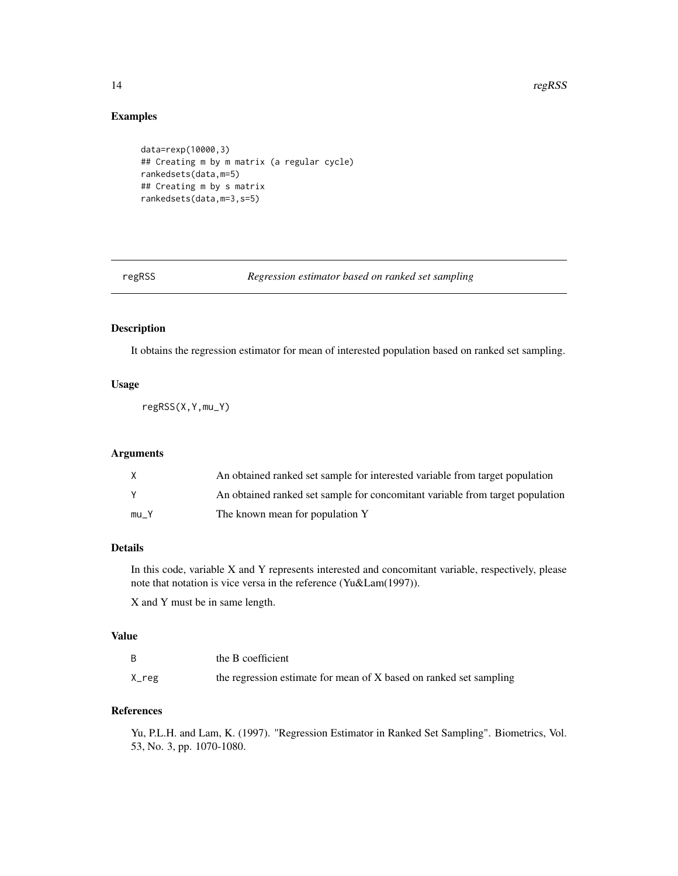# Examples

```
data=rexp(10000,3)
## Creating m by m matrix (a regular cycle)
rankedsets(data,m=5)
## Creating m by s matrix
rankedsets(data,m=3,s=5)
```
regRSS *Regression estimator based on ranked set sampling*

# **Description**

It obtains the regression estimator for mean of interested population based on ranked set sampling.

# Usage

regRSS(X,Y,mu\_Y)

#### Arguments

| X    | An obtained ranked set sample for interested variable from target population  |
|------|-------------------------------------------------------------------------------|
|      | An obtained ranked set sample for concomitant variable from target population |
| mu Y | The known mean for population Y                                               |

# Details

In this code, variable X and Y represents interested and concomitant variable, respectively, please note that notation is vice versa in the reference (Yu&Lam(1997)).

X and Y must be in same length.

#### Value

|       | the B coefficient                                                  |
|-------|--------------------------------------------------------------------|
| X_reg | the regression estimate for mean of X based on ranked set sampling |

# References

Yu, P.L.H. and Lam, K. (1997). "Regression Estimator in Ranked Set Sampling". Biometrics, Vol. 53, No. 3, pp. 1070-1080.

<span id="page-13-0"></span>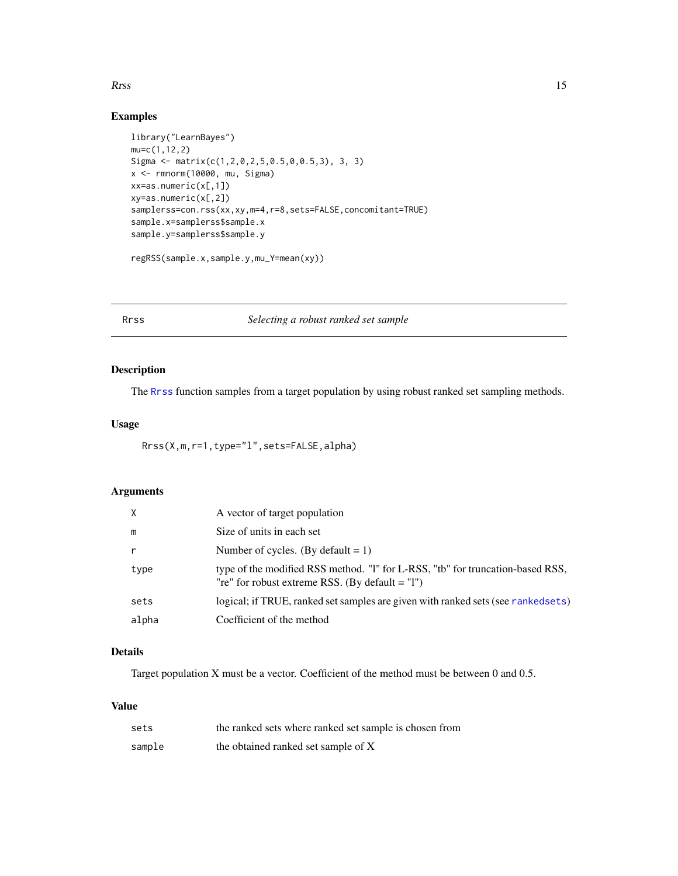#### <span id="page-14-0"></span> $\mathbf{R}$ rss 15

# Examples

```
library("LearnBayes")
mu=c(1,12,2)
Sigma <- matrix(c(1,2,0,2,5,0.5,0,0.5,3), 3, 3)
x <- rmnorm(10000, mu, Sigma)
xx=as.numeric(x[,1])
xy=as.numeric(x[,2])
samplerss=con.rss(xx,xy,m=4,r=8,sets=FALSE,concomitant=TRUE)
sample.x=samplerss$sample.x
sample.y=samplerss$sample.y
regRSS(sample.x,sample.y,mu_Y=mean(xy))
```
#### <span id="page-14-1"></span>Rrss *Selecting a robust ranked set sample*

# Description

The [Rrss](#page-14-1) function samples from a target population by using robust ranked set sampling methods.

# Usage

Rrss(X,m,r=1,type="l",sets=FALSE,alpha)

# Arguments

|       | A vector of target population                                                                                                       |
|-------|-------------------------------------------------------------------------------------------------------------------------------------|
| m     | Size of units in each set                                                                                                           |
|       | Number of cycles. (By default $= 1$ )                                                                                               |
| type  | type of the modified RSS method. "I" for L-RSS, "tb" for truncation-based RSS,<br>"re" for robust extreme RSS. (By default $=$ "l") |
| sets  | logical; if TRUE, ranked set samples are given with ranked sets (see ranked sets)                                                   |
| alpha | Coefficient of the method                                                                                                           |

# Details

Target population X must be a vector. Coefficient of the method must be between 0 and 0.5.

# Value

| sets   | the ranked sets where ranked set sample is chosen from |
|--------|--------------------------------------------------------|
| sample | the obtained ranked set sample of X                    |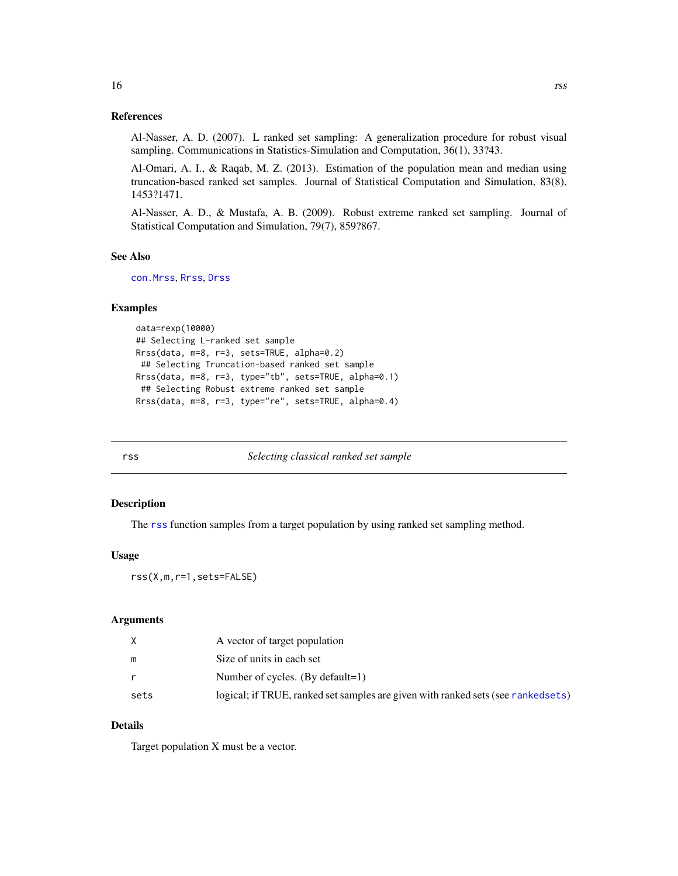# References

Al-Nasser, A. D. (2007). L ranked set sampling: A generalization procedure for robust visual sampling. Communications in Statistics-Simulation and Computation, 36(1), 33?43.

Al-Omari, A. I., & Raqab, M. Z. (2013). Estimation of the population mean and median using truncation-based ranked set samples. Journal of Statistical Computation and Simulation, 83(8), 1453?1471.

Al-Nasser, A. D., & Mustafa, A. B. (2009). Robust extreme ranked set sampling. Journal of Statistical Computation and Simulation, 79(7), 859?867.

#### See Also

[con.Mrss](#page-1-1), [Rrss](#page-14-1), [Drss](#page-5-1)

#### Examples

```
data=rexp(10000)
## Selecting L-ranked set sample
Rrss(data, m=8, r=3, sets=TRUE, alpha=0.2)
 ## Selecting Truncation-based ranked set sample
Rrss(data, m=8, r=3, type="tb", sets=TRUE, alpha=0.1)
 ## Selecting Robust extreme ranked set sample
Rrss(data, m=8, r=3, type="re", sets=TRUE, alpha=0.4)
```
<span id="page-15-1"></span>rss *Selecting classical ranked set sample*

#### Description

The [rss](#page-15-1) function samples from a target population by using ranked set sampling method.

#### Usage

rss(X,m,r=1,sets=FALSE)

# Arguments

|      | A vector of target population                                                     |
|------|-----------------------------------------------------------------------------------|
| m    | Size of units in each set                                                         |
|      | Number of cycles. (By default=1)                                                  |
| sets | logical; if TRUE, ranked set samples are given with ranked sets (see ranked sets) |

# Details

Target population X must be a vector.

<span id="page-15-0"></span>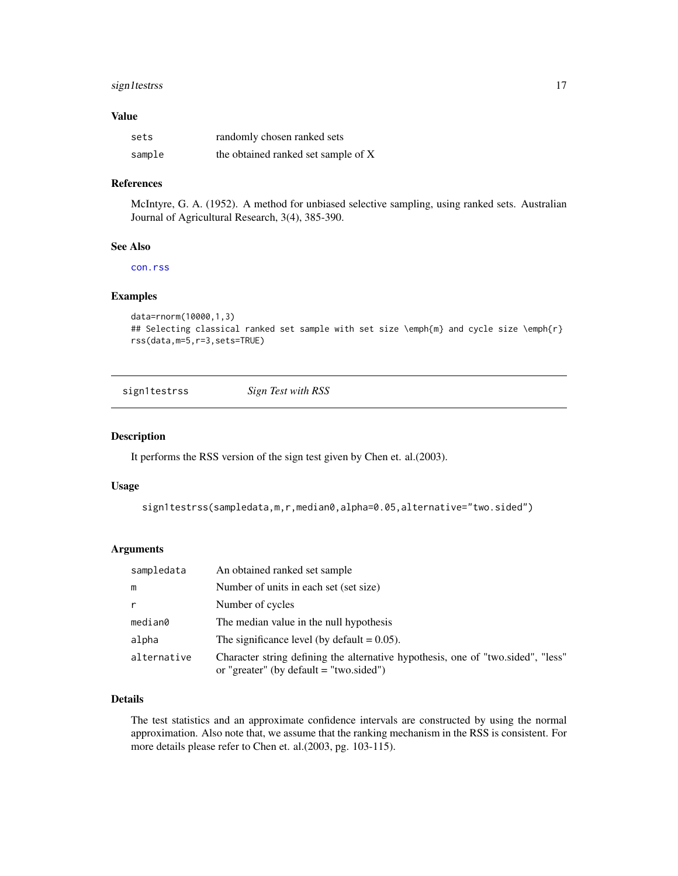# <span id="page-16-0"></span>sign1testrss 17

#### Value

| sets   | randomly chosen ranked sets         |
|--------|-------------------------------------|
| sample | the obtained ranked set sample of X |

#### References

McIntyre, G. A. (1952). A method for unbiased selective sampling, using ranked sets. Australian Journal of Agricultural Research, 3(4), 385-390.

#### See Also

[con.rss](#page-4-1)

#### Examples

```
data=rnorm(10000,1,3)
## Selecting classical ranked set sample with set size \emph{m} and cycle size \emph{r}
rss(data,m=5,r=3,sets=TRUE)
```
sign1testrss *Sign Test with RSS*

#### Description

It performs the RSS version of the sign test given by Chen et. al.(2003).

#### Usage

```
sign1testrss(sampledata,m,r,median0,alpha=0.05,alternative="two.sided")
```
#### Arguments

| sampledata  | An obtained ranked set sample                                                                                               |
|-------------|-----------------------------------------------------------------------------------------------------------------------------|
| m           | Number of units in each set (set size)                                                                                      |
| r           | Number of cycles                                                                                                            |
| median0     | The median value in the null hypothesis                                                                                     |
| alpha       | The significance level (by default $= 0.05$ ).                                                                              |
| alternative | Character string defining the alternative hypothesis, one of "two sided", "less"<br>or "greater" (by default = "two.sided") |

# Details

The test statistics and an approximate confidence intervals are constructed by using the normal approximation. Also note that, we assume that the ranking mechanism in the RSS is consistent. For more details please refer to Chen et. al.(2003, pg. 103-115).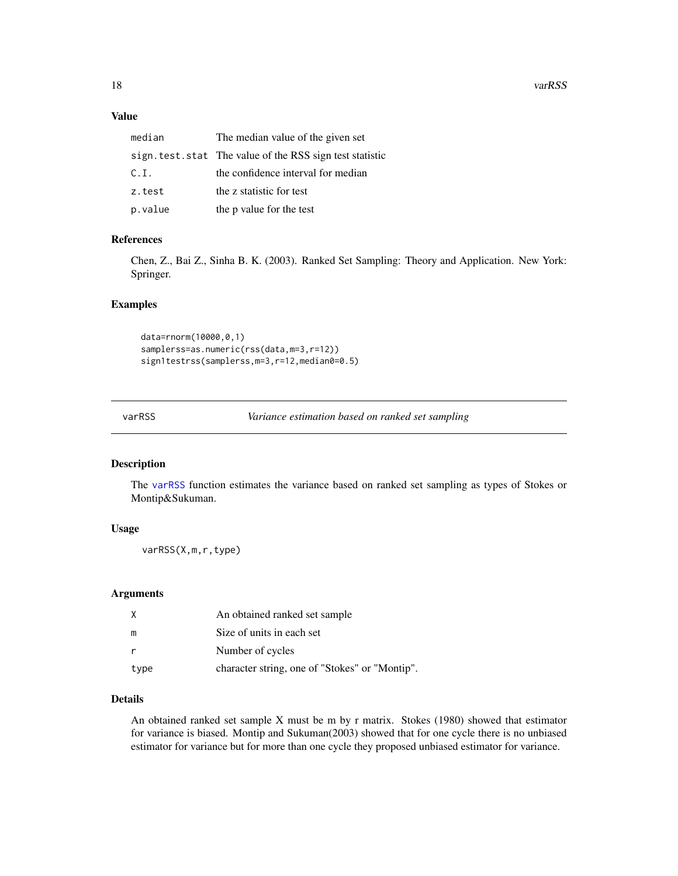# <span id="page-17-0"></span>Value

| median  | The median value of the given set                         |
|---------|-----------------------------------------------------------|
|         | sign. test. stat The value of the RSS sign test statistic |
| C.I.    | the confidence interval for median                        |
| z.test  | the z statistic for test                                  |
| p.value | the p value for the test                                  |

# References

Chen, Z., Bai Z., Sinha B. K. (2003). Ranked Set Sampling: Theory and Application. New York: Springer.

# Examples

```
data=rnorm(10000,0,1)
samplerss=as.numeric(rss(data,m=3,r=12))
sign1testrss(samplerss, m=3, r=12, median0=0.5)
```
<span id="page-17-1"></span>varRSS *Variance estimation based on ranked set sampling*

#### Description

The [varRSS](#page-17-1) function estimates the variance based on ranked set sampling as types of Stokes or Montip&Sukuman.

# Usage

varRSS(X,m,r,type)

#### Arguments

| X    | An obtained ranked set sample                  |
|------|------------------------------------------------|
| m    | Size of units in each set                      |
| r    | Number of cycles                               |
| type | character string, one of "Stokes" or "Montip". |

# Details

An obtained ranked set sample X must be m by r matrix. Stokes (1980) showed that estimator for variance is biased. Montip and Sukuman(2003) showed that for one cycle there is no unbiased estimator for variance but for more than one cycle they proposed unbiased estimator for variance.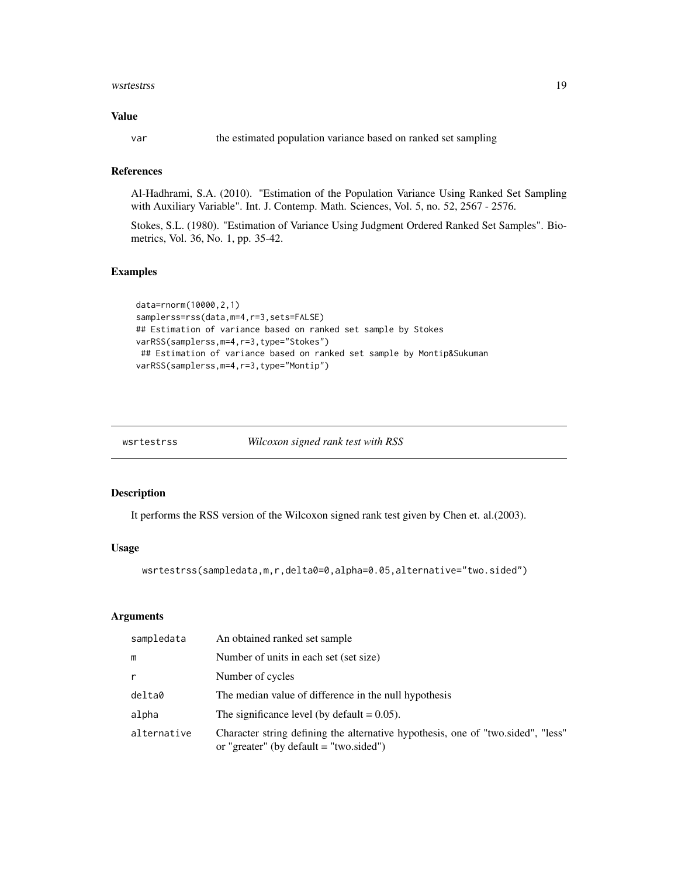#### <span id="page-18-0"></span>wsrtestrss 19

#### Value

var the estimated population variance based on ranked set sampling

# References

Al-Hadhrami, S.A. (2010). "Estimation of the Population Variance Using Ranked Set Sampling with Auxiliary Variable". Int. J. Contemp. Math. Sciences, Vol. 5, no. 52, 2567 - 2576.

Stokes, S.L. (1980). "Estimation of Variance Using Judgment Ordered Ranked Set Samples". Biometrics, Vol. 36, No. 1, pp. 35-42.

### Examples

```
data=rnorm(10000,2,1)
samplerss=rss(data,m=4,r=3,sets=FALSE)
## Estimation of variance based on ranked set sample by Stokes
varRSS(samplerss,m=4,r=3,type="Stokes")
 ## Estimation of variance based on ranked set sample by Montip&Sukuman
varRSS(samplerss,m=4,r=3,type="Montip")
```
*Wilcoxon signed rank test with RSS* 

# Description

It performs the RSS version of the Wilcoxon signed rank test given by Chen et. al.(2003).

# Usage

wsrtestrss(sampledata,m,r,delta0=0,alpha=0.05,alternative="two.sided")

#### **Arguments**

| sampledata  | An obtained ranked set sample                                                                                               |
|-------------|-----------------------------------------------------------------------------------------------------------------------------|
| m           | Number of units in each set (set size)                                                                                      |
| r           | Number of cycles                                                                                                            |
| delta0      | The median value of difference in the null hypothesis                                                                       |
| alpha       | The significance level (by default $= 0.05$ ).                                                                              |
| alternative | Character string defining the alternative hypothesis, one of "two.sided", "less"<br>or "greater" (by default = "two.sided") |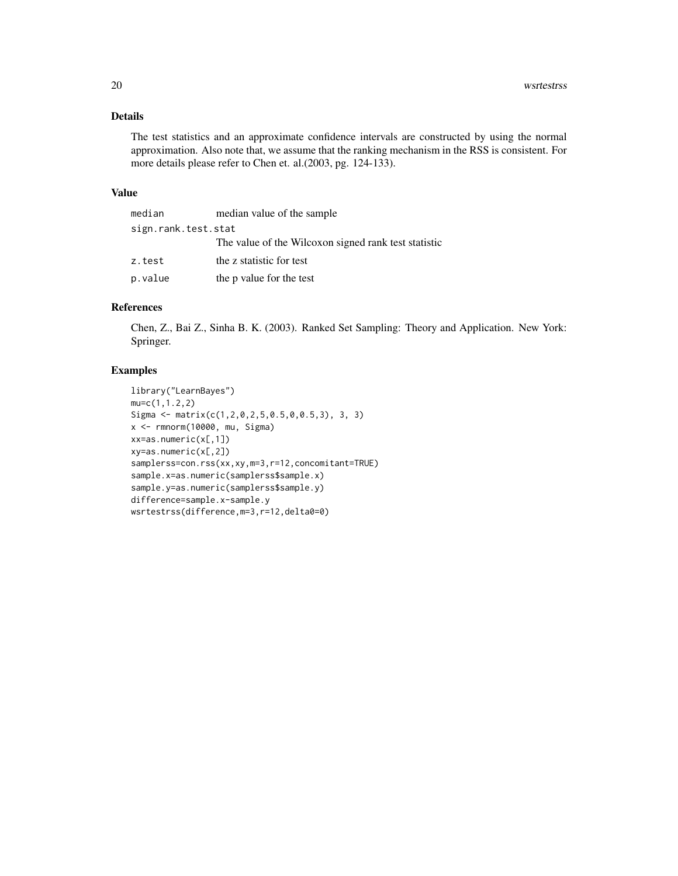# Details

The test statistics and an approximate confidence intervals are constructed by using the normal approximation. Also note that, we assume that the ranking mechanism in the RSS is consistent. For more details please refer to Chen et. al.(2003, pg. 124-133).

#### Value

| median              | median value of the sample                           |  |
|---------------------|------------------------------------------------------|--|
| sign.rank.test.stat |                                                      |  |
|                     | The value of the Wilcoxon signed rank test statistic |  |
| z.test              | the z statistic for test                             |  |
| p.value             | the p value for the test                             |  |

# References

Chen, Z., Bai Z., Sinha B. K. (2003). Ranked Set Sampling: Theory and Application. New York: Springer.

# Examples

```
library("LearnBayes")
mu=c(1,1.2,2)
Sigma <- matrix(c(1,2,0,2,5,0.5,0,0.5,3), 3, 3)
x <- rmnorm(10000, mu, Sigma)
xx=as.numeric(x[,1])
xy=as.numeric(x[,2])
samplerss=con.rss(xx,xy,m=3,r=12,concomitant=TRUE)
sample.x=as.numeric(samplerss$sample.x)
sample.y=as.numeric(samplerss$sample.y)
difference=sample.x-sample.y
wsrtestrss(difference,m=3,r=12,delta0=0)
```